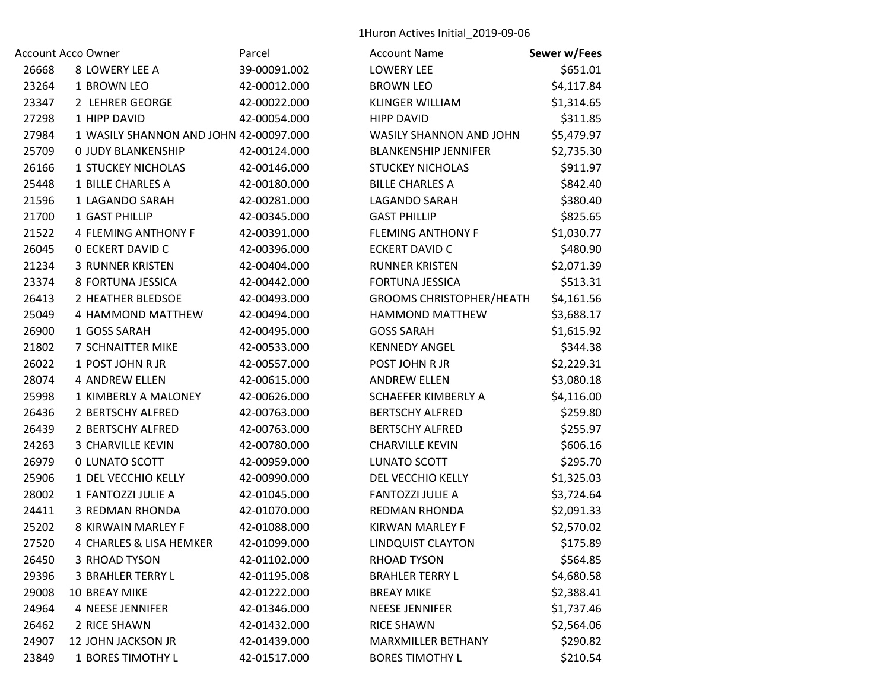1Huron Actives Initial\_2019‐09‐06

|       | Account Acco Owner                     | Parcel       | <b>Account Name</b>             | Sewer w/Fees |
|-------|----------------------------------------|--------------|---------------------------------|--------------|
| 26668 | 8 LOWERY LEE A                         | 39-00091.002 | <b>LOWERY LEE</b>               | \$651.01     |
| 23264 | 1 BROWN LEO                            | 42-00012.000 | <b>BROWN LEO</b>                | \$4,117.84   |
| 23347 | 2 LEHRER GEORGE                        | 42-00022.000 | <b>KLINGER WILLIAM</b>          | \$1,314.65   |
| 27298 | 1 HIPP DAVID                           | 42-00054.000 | <b>HIPP DAVID</b>               | \$311.85     |
| 27984 | 1 WASILY SHANNON AND JOHN 42-00097.000 |              | WASILY SHANNON AND JOHN         | \$5,479.97   |
| 25709 | <b>0 JUDY BLANKENSHIP</b>              | 42-00124.000 | <b>BLANKENSHIP JENNIFER</b>     | \$2,735.30   |
| 26166 | <b>1 STUCKEY NICHOLAS</b>              | 42-00146.000 | <b>STUCKEY NICHOLAS</b>         | \$911.97     |
| 25448 | 1 BILLE CHARLES A                      | 42-00180.000 | <b>BILLE CHARLES A</b>          | \$842.40     |
| 21596 | 1 LAGANDO SARAH                        | 42-00281.000 | LAGANDO SARAH                   | \$380.40     |
| 21700 | 1 GAST PHILLIP                         | 42-00345.000 | <b>GAST PHILLIP</b>             | \$825.65     |
| 21522 | <b>4 FLEMING ANTHONY F</b>             | 42-00391.000 | <b>FLEMING ANTHONY F</b>        | \$1,030.77   |
| 26045 | <b>0 ECKERT DAVID C</b>                | 42-00396.000 | <b>ECKERT DAVID C</b>           | \$480.90     |
| 21234 | <b>3 RUNNER KRISTEN</b>                | 42-00404.000 | <b>RUNNER KRISTEN</b>           | \$2,071.39   |
| 23374 | 8 FORTUNA JESSICA                      | 42-00442.000 | <b>FORTUNA JESSICA</b>          | \$513.31     |
| 26413 | 2 HEATHER BLEDSOE                      | 42-00493.000 | <b>GROOMS CHRISTOPHER/HEATH</b> | \$4,161.56   |
| 25049 | 4 HAMMOND MATTHEW                      | 42-00494.000 | HAMMOND MATTHEW                 | \$3,688.17   |
| 26900 | 1 GOSS SARAH                           | 42-00495.000 | <b>GOSS SARAH</b>               | \$1,615.92   |
| 21802 | 7 SCHNAITTER MIKE                      | 42-00533.000 | <b>KENNEDY ANGEL</b>            | \$344.38     |
| 26022 | 1 POST JOHN R JR                       | 42-00557.000 | POST JOHN R JR                  | \$2,229.31   |
| 28074 | <b>4 ANDREW ELLEN</b>                  | 42-00615.000 | <b>ANDREW ELLEN</b>             | \$3,080.18   |
| 25998 | 1 KIMBERLY A MALONEY                   | 42-00626.000 | <b>SCHAEFER KIMBERLY A</b>      | \$4,116.00   |
| 26436 | 2 BERTSCHY ALFRED                      | 42-00763.000 | <b>BERTSCHY ALFRED</b>          | \$259.80     |
| 26439 | 2 BERTSCHY ALFRED                      | 42-00763.000 | <b>BERTSCHY ALFRED</b>          | \$255.97     |
| 24263 | 3 CHARVILLE KEVIN                      | 42-00780.000 | <b>CHARVILLE KEVIN</b>          | \$606.16     |
| 26979 | 0 LUNATO SCOTT                         | 42-00959.000 | LUNATO SCOTT                    | \$295.70     |
| 25906 | 1 DEL VECCHIO KELLY                    | 42-00990.000 | DEL VECCHIO KELLY               | \$1,325.03   |
| 28002 | 1 FANTOZZI JULIE A                     | 42-01045.000 | <b>FANTOZZI JULIE A</b>         | \$3,724.64   |
| 24411 | <b>3 REDMAN RHONDA</b>                 | 42-01070.000 | <b>REDMAN RHONDA</b>            | \$2,091.33   |
| 25202 | 8 KIRWAIN MARLEY F                     | 42-01088.000 | KIRWAN MARLEY F                 | \$2,570.02   |
| 27520 | 4 CHARLES & LISA HEMKER                | 42-01099.000 | <b>LINDQUIST CLAYTON</b>        | \$175.89     |
| 26450 | 3 RHOAD TYSON                          | 42-01102.000 | RHOAD TYSON                     | \$564.85     |
| 29396 | <b>3 BRAHLER TERRY L</b>               | 42-01195.008 | <b>BRAHLER TERRY L</b>          | \$4,680.58   |
| 29008 | <b>10 BREAY MIKE</b>                   | 42-01222.000 | <b>BREAY MIKE</b>               | \$2,388.41   |
| 24964 | 4 NEESE JENNIFER                       | 42-01346.000 | <b>NEESE JENNIFER</b>           | \$1,737.46   |
| 26462 | 2 RICE SHAWN                           | 42-01432.000 | <b>RICE SHAWN</b>               | \$2,564.06   |
| 24907 | 12 JOHN JACKSON JR                     | 42-01439.000 | MARXMILLER BETHANY              | \$290.82     |
| 23849 | 1 BORES TIMOTHY L                      | 42-01517.000 | <b>BORES TIMOTHY L</b>          | \$210.54     |